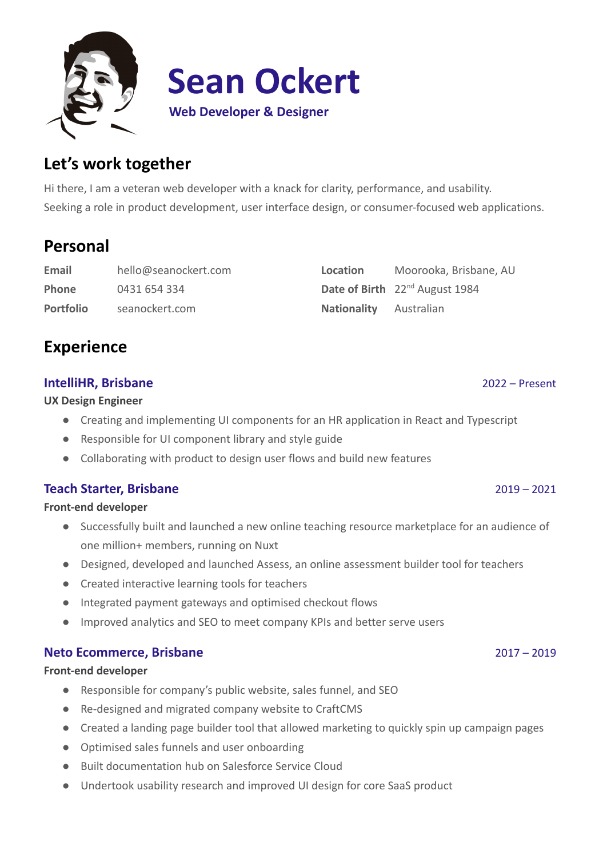

# **Let's work together**

Hi there, I am a veteran web developer with a knack for clarity, performance, and usability. Seeking a role in product development, user interface design, or consumer-focused web applications.

# **Personal**

**Email** [hello@seanockert.com](mailto:hello@seanockert.com) **Phone** 0431 654 334 **Portfolio** seanockert.com

| <b>Experience</b> |
|-------------------|
|-------------------|

# **IntelliHR, Brisbane** 2022 – Present

**UX Design Engineer**

- Creating and implementing UI components for an HR application in React and Typescript
- Responsible for UI component library and style guide
- Collaborating with product to design user flows and build new features

# **Teach Starter, Brisbane** 2019 – 2021

**Front-end developer**

- Successfully built and launched a new online teaching resource marketplace for an audience of one million+ members, running on Nuxt
- Designed, developed and launched Assess, an online assessment builder tool for teachers
- Created interactive learning tools for teachers
- Integrated payment gateways and optimised checkout flows
- Improved analytics and SEO to meet company KPIs and better serve users

# **Neto Ecommerce, Brisbane** 2017 – 2019

#### **Front-end developer**

- Responsible for company's public website, sales funnel, and SEO
- Re-designed and migrated company website to CraftCMS
- Created a landing page builder tool that allowed marketing to quickly spin up campaign pages
- Optimised sales funnels and user onboarding
- Built documentation hub on Salesforce Service Cloud
- Undertook usability research and improved UI design for core SaaS product

| Location               | Moorooka, Brisbane, AU                     |
|------------------------|--------------------------------------------|
|                        | Date of Birth 22 <sup>nd</sup> August 1984 |
| Nationality Australian |                                            |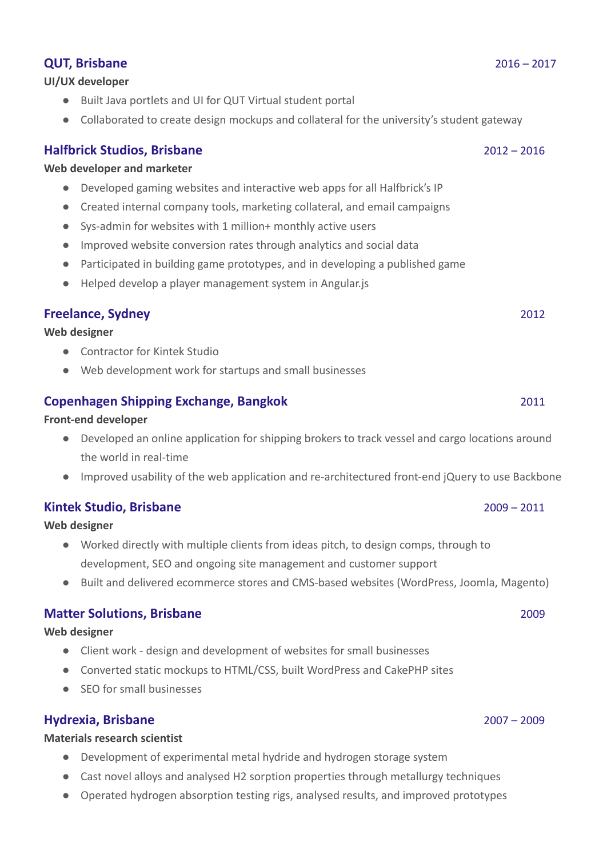### **Copenhagen Shipping Exchange, Bangkok** 2011

#### **Front-end developer**

- Developed an online application for shipping brokers to track vessel and cargo locations around the world in real-time
- Improved usability of the web application and re-architectured front-end jQuery to use Backbone

# **Kintek Studio, Brisbane** 2009 – 2011

#### **Web designer**

- Worked directly with multiple clients from ideas pitch, to design comps, through to development, SEO and ongoing site management and customer support
- Built and delivered ecommerce stores and CMS-based websites (WordPress, Joomla, Magento)

# **Matter Solutions, Brisbane** 2009

#### **Web designer**

- Client work design and development of websites for small businesses
- Converted static mockups to HTML/CSS, built WordPress and CakePHP sites
- SEO for small businesses

# **Hydrexia, Brisbane** 2007 – 2009

### **Materials research scientist**

- Development of experimental metal hydride and hydrogen storage system
- Cast novel alloys and analysed H2 sorption properties through metallurgy techniques
- Operated hydrogen absorption testing rigs, analysed results, and improved prototypes

### **UI/UX developer**

- Built Java portlets and UI for QUT Virtual student portal
- Collaborated to create design mockups and collateral for the university's student gateway

### **Halfbrick Studios, Brisbane** 2012 – 2016

### **Web developer and marketer**

- Developed gaming websites and interactive web apps for all Halfbrick's IP
- Created internal company tools, marketing collateral, and email campaigns
- Sys-admin for websites with 1 million+ monthly active users
- Improved website conversion rates through analytics and social data
- Participated in building game prototypes, and in developing a published game
- Helped develop a player management system in Angular.js

### **Freelance, Sydney** 2012

#### **Web designer**

- Contractor for Kintek Studio
- Web development work for startups and small businesses